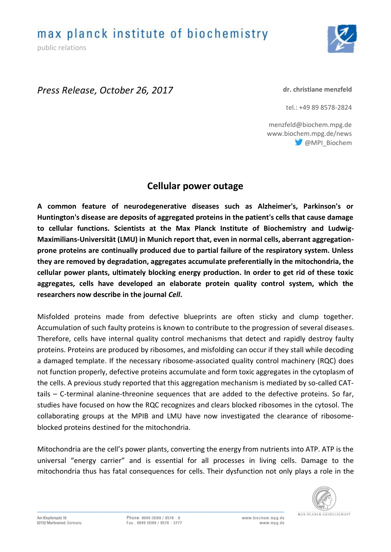public relations



# *Press Release, October 26, 2017*

#### **dr. christiane menzfeld**

tel.: +49 89 8578-2824

menzfeld@biochem.mpg.de www.biochem.mpg.de/news @MPI\_Biochem

# **Cellular power outage**

**A common feature of neurodegenerative diseases such as Alzheimer's, Parkinson's or Huntington's disease are deposits of aggregated proteins in the patient's cells that cause damage to cellular functions. Scientists at the Max Planck Institute of Biochemistry and Ludwig-Maximilians-Universität (LMU) in Munich report that, even in normal cells, aberrant aggregationprone proteins are continually produced due to partial failure of the respiratory system. Unless they are removed by degradation, aggregates accumulate preferentially in the mitochondria, the cellular power plants, ultimately blocking energy production. In order to get rid of these toxic aggregates, cells have developed an elaborate protein quality control system, which the researchers now describe in the journal** *Cell***.**

Misfolded proteins made from defective blueprints are often sticky and clump together. Accumulation of such faulty proteins is known to contribute to the progression of several diseases. Therefore, cells have internal quality control mechanisms that detect and rapidly destroy faulty proteins. Proteins are produced by ribosomes, and misfolding can occur if they stall while decoding a damaged template. If the necessary ribosome-associated quality control machinery (RQC) does not function properly, defective proteins accumulate and form toxic aggregates in the cytoplasm of the cells. A previous study reported that this aggregation mechanism is mediated by so-called CATtails – C-terminal alanine-threonine sequences that are added to the defective proteins. So far, studies have focused on how the RQC recognizes and clears blocked ribosomes in the cytosol. The collaborating groups at the MPIB and LMU have now investigated the clearance of ribosomeblocked proteins destined for the mitochondria.

Mitochondria are the cell's power plants, converting the energy from nutrients into ATP. ATP is the universal "energy carrier" and is essential for all processes in living cells. Damage to the mitochondria thus has fatal consequences for cells. Their dysfunction not only plays a role in the

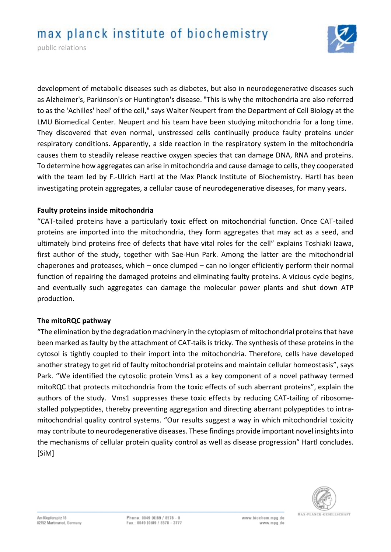# max planck institute of biochemistry



development of metabolic diseases such as diabetes, but also in neurodegenerative diseases such as Alzheimer's, Parkinson's or Huntington's disease. "This is why the mitochondria are also referred to as the 'Achilles' heel' of the cell," says Walter Neupert from the Department of Cell Biology at the LMU Biomedical Center. Neupert and his team have been studying mitochondria for a long time. They discovered that even normal, unstressed cells continually produce faulty proteins under respiratory conditions. Apparently, a side reaction in the respiratory system in the mitochondria causes them to steadily release reactive oxygen species that can damage DNA, RNA and proteins. To determine how aggregates can arise in mitochondria and cause damage to cells, they cooperated with the team led by F.-Ulrich Hartl at the Max Planck Institute of Biochemistry. Hartl has been investigating protein aggregates, a cellular cause of neurodegenerative diseases, for many years.

#### **Faulty proteins inside mitochondria**

"CAT-tailed proteins have a particularly toxic effect on mitochondrial function. Once CAT-tailed proteins are imported into the mitochondria, they form aggregates that may act as a seed, and ultimately bind proteins free of defects that have vital roles for the cell" explains Toshiaki Izawa, first author of the study, together with Sae-Hun Park. Among the latter are the mitochondrial chaperones and proteases, which – once clumped – can no longer efficiently perform their normal function of repairing the damaged proteins and eliminating faulty proteins. A vicious cycle begins, and eventually such aggregates can damage the molecular power plants and shut down ATP production.

#### **The mitoRQC pathway**

"The elimination by the degradation machinery in the cytoplasm of mitochondrial proteins that have been marked as faulty by the attachment of CAT-tails is tricky. The synthesis of these proteins in the cytosol is tightly coupled to their import into the mitochondria. Therefore, cells have developed another strategy to get rid of faulty mitochondrial proteins and maintain cellular homeostasis", says Park. "We identified the cytosolic protein Vms1 as a key component of a novel pathway termed mitoRQC that protects mitochondria from the toxic effects of such aberrant proteins", explain the authors of the study. Vms1 suppresses these toxic effects by reducing CAT-tailing of ribosomestalled polypeptides, thereby preventing aggregation and directing aberrant polypeptides to intramitochondrial quality control systems. "Our results suggest a way in which mitochondrial toxicity may contribute to neurodegenerative diseases. These findings provide important novel insights into the mechanisms of cellular protein quality control as well as disease progression" Hartl concludes. [SiM]

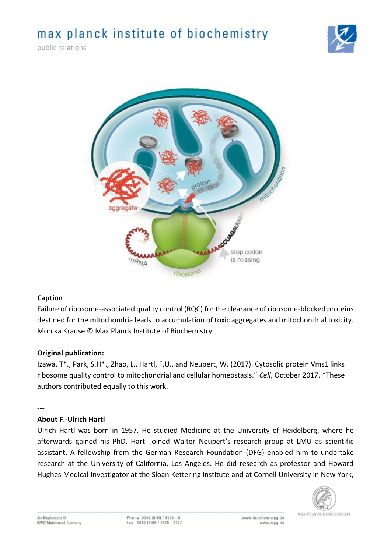# max planck institute of biochemistry

public relations





# **Caption**

Failure of ribosome-associated quality control (RQC) for the clearance of ribosome-blocked proteins destined for the mitochondria leads to accumulation of toxic aggregates and mitochondrial toxicity. Monika Krause © Max Planck Institute of Biochemistry

# **Original publication:**

Izawa, T\*., Park, S.H\*., Zhao, L., Hartl, F.U., and Neupert, W. (2017). Cytosolic protein Vms1 links ribosome quality control to mitochondrial and cellular homeostasis." *Cell*, October 2017. \*These authors contributed equally to this work.

---

# **About F.-Ulrich Hartl**

Ulrich Hartl was born in 1957. He studied Medicine at the University of Heidelberg, where he afterwards gained his PhD. Hartl joined Walter Neupert's research group at LMU as scientific assistant. A fellowship from the German Research Foundation (DFG) enabled him to undertake research at the University of California, Los Angeles. He did research as professor and Howard Hughes Medical Investigator at the Sloan Kettering Institute and at Cornell University in New York,

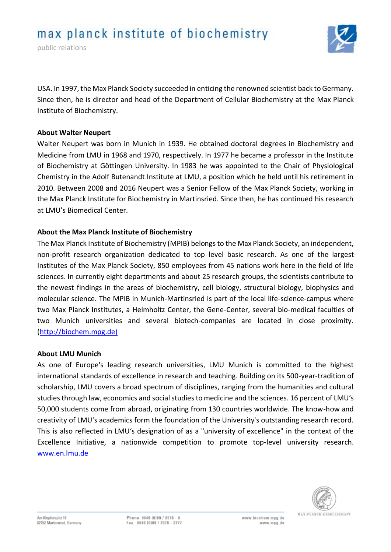public relations



USA. In 1997, the Max Planck Society succeeded in enticing the renowned scientist back to Germany. Since then, he is director and head of the Department of Cellular Biochemistry at the Max Planck Institute of Biochemistry.

### **About Walter Neupert**

Walter Neupert was born in Munich in 1939. He obtained doctoral degrees in Biochemistry and Medicine from LMU in 1968 and 1970, respectively. In 1977 he became a professor in the Institute of Biochemistry at Göttingen University. In 1983 he was appointed to the Chair of Physiological Chemistry in the Adolf Butenandt Institute at LMU, a position which he held until his retirement in 2010. Between 2008 and 2016 Neupert was a Senior Fellow of the Max Planck Society, working in the Max Planck Institute for Biochemistry in Martinsried. Since then, he has continued his research at LMU's Biomedical Center.

# **About the Max Planck Institute of Biochemistry**

The Max Planck Institute of Biochemistry (MPIB) belongs to the Max Planck Society, an independent, non-profit research organization dedicated to top level basic research. As one of the largest Institutes of the Max Planck Society, 850 employees from 45 nations work here in the field of life sciences. In currently eight departments and about 25 research groups, the scientists contribute to the newest findings in the areas of biochemistry, cell biology, structural biology, biophysics and molecular science. The MPIB in Munich-Martinsried is part of the local life-science-campus where two Max Planck Institutes, a Helmholtz Center, the Gene-Center, several bio-medical faculties of two Munich universities and several biotech-companies are located in close proximity. [\(http://biochem.mpg.de\)](http://biochem.mpg.de)/)

#### **About LMU Munich**

As one of Europe's leading research universities, LMU Munich is committed to the highest international standards of excellence in research and teaching. Building on its 500-year-tradition of scholarship, LMU covers a broad spectrum of disciplines, ranging from the humanities and cultural studies through law, economics and social studies to medicine and the sciences. 16 percent of LMU's 50,000 students come from abroad, originating from 130 countries worldwide. The know-how and creativity of LMU's academics form the foundation of the University's outstanding research record. This is also reflected in LMU's designation of as a "university of excellence" in the context of the Excellence Initiative, a nationwide competition to promote top-level university research. [www.en.lmu.de](https://mail.verwaltung.uni-muenchen.de/owa/redir.aspx?C=cyNMkgD3a4YYJkXGdEGF3l2ZePwx2FZ2qdWur7Za5pZucujioRfVCA..&URL=http%3a%2f%2fwww.en.lmu.de)